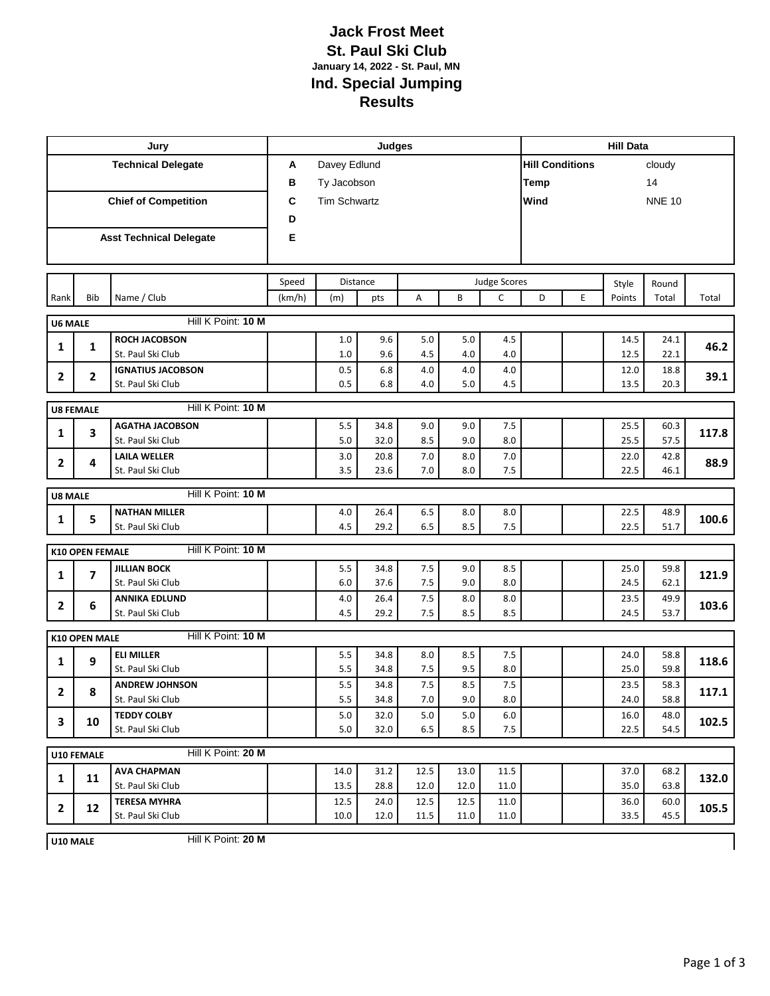## **Jack Frost Meet St. Paul Ski Club January 14, 2022 - St. Paul, MN Ind. Special Jumping Results**

| Jury                             |                        |                                | Judges            |                     |      |              |      |         |                                  | <b>Hill Data</b> |        |               |       |  |
|----------------------------------|------------------------|--------------------------------|-------------------|---------------------|------|--------------|------|---------|----------------------------------|------------------|--------|---------------|-------|--|
| <b>Technical Delegate</b>        |                        |                                | Davey Edlund<br>A |                     |      |              |      |         | <b>Hill Conditions</b><br>cloudy |                  |        |               |       |  |
|                                  |                        |                                | в                 | Ty Jacobson         |      |              |      |         |                                  | 14<br>Temp       |        |               |       |  |
| <b>Chief of Competition</b>      |                        |                                | C                 | <b>Tim Schwartz</b> |      |              |      |         | Wind                             |                  |        | <b>NNE 10</b> |       |  |
|                                  |                        |                                |                   |                     |      |              |      |         |                                  |                  |        |               |       |  |
|                                  |                        | <b>Asst Technical Delegate</b> | E                 |                     |      |              |      |         |                                  |                  |        |               |       |  |
|                                  |                        |                                |                   |                     |      |              |      |         |                                  |                  |        |               |       |  |
|                                  |                        |                                |                   |                     |      |              |      |         |                                  |                  |        |               |       |  |
|                                  |                        |                                | Speed             | <b>Distance</b>     |      | Judge Scores |      |         |                                  |                  | Style  | Round         |       |  |
| Rank                             | Bib                    | Name / Club                    | (km/h)            | (m)                 | pts  | Α            | B    | C       | D                                | E                | Points | Total         | Total |  |
| <b>U6 MALE</b>                   |                        | Hill K Point: 10 M             |                   |                     |      |              |      |         |                                  |                  |        |               |       |  |
| 1                                | $\mathbf{1}$           | <b>ROCH JACOBSON</b>           |                   | 1.0                 | 9.6  | $5.0$        | 5.0  | 4.5     |                                  |                  | 14.5   | 24.1          | 46.2  |  |
|                                  |                        | St. Paul Ski Club              |                   | 1.0                 | 9.6  | 4.5          | 4.0  | 4.0     |                                  |                  | 12.5   | 22.1          |       |  |
| $\mathbf{2}$                     | 2                      | <b>IGNATIUS JACOBSON</b>       |                   | 0.5                 | 6.8  | 4.0          | 4.0  | 4.0     |                                  |                  | 12.0   | 18.8          | 39.1  |  |
|                                  |                        | St. Paul Ski Club              |                   | 0.5                 | 6.8  | 4.0          | 5.0  | 4.5     |                                  |                  | 13.5   | 20.3          |       |  |
|                                  | <b>U8 FEMALE</b>       | Hill K Point: 10 M             |                   |                     |      |              |      |         |                                  |                  |        |               |       |  |
| $\mathbf{1}$                     | 3                      | <b>AGATHA JACOBSON</b>         |                   | 5.5                 | 34.8 | 9.0          | 9.0  | $7.5$   |                                  |                  | 25.5   | 60.3          | 117.8 |  |
|                                  |                        | St. Paul Ski Club              |                   | 5.0                 | 32.0 | 8.5          | 9.0  | 8.0     |                                  |                  | 25.5   | 57.5          |       |  |
| 2                                | 4                      | <b>LAILA WELLER</b>            |                   | 3.0                 | 20.8 | $7.0$        | 8.0  | $7.0$   |                                  |                  | 22.0   | 42.8          | 88.9  |  |
|                                  |                        | St. Paul Ski Club              |                   | 3.5                 | 23.6 | 7.0          | 8.0  | 7.5     |                                  |                  | 22.5   | 46.1          |       |  |
| <b>U8 MALE</b>                   |                        | Hill K Point: 10 M             |                   |                     |      |              |      |         |                                  |                  |        |               |       |  |
| 1                                | 5                      | <b>NATHAN MILLER</b>           |                   | $4.0$               | 26.4 | 6.5          | 8.0  | 8.0     |                                  |                  | 22.5   | 48.9          | 100.6 |  |
|                                  |                        | St. Paul Ski Club              |                   | 4.5                 | 29.2 | 6.5          | 8.5  | 7.5     |                                  |                  | 22.5   | 51.7          |       |  |
|                                  | <b>K10 OPEN FEMALE</b> | Hill K Point: 10 M             |                   |                     |      |              |      |         |                                  |                  |        |               |       |  |
|                                  |                        | <b>JILLIAN BOCK</b>            |                   | 5.5                 | 34.8 | 7.5          | 9.0  | 8.5     |                                  |                  | 25.0   | 59.8          |       |  |
| 1                                | 7                      | St. Paul Ski Club              |                   | 6.0                 | 37.6 | 7.5          | 9.0  | 8.0     |                                  |                  | 24.5   | 62.1          | 121.9 |  |
| 2                                | 6                      | <b>ANNIKA EDLUND</b>           |                   | 4.0                 | 26.4 | 7.5          | 8.0  | 8.0     |                                  |                  | 23.5   | 49.9          | 103.6 |  |
|                                  |                        | St. Paul Ski Club              |                   | 4.5                 | 29.2 | 7.5          | 8.5  | 8.5     |                                  |                  | 24.5   | 53.7          |       |  |
|                                  | <b>K10 OPEN MALE</b>   | Hill K Point: 10 M             |                   |                     |      |              |      |         |                                  |                  |        |               |       |  |
|                                  |                        | <b>ELI MILLER</b>              |                   | 5.5                 | 34.8 | 8.0          | 8.5  | 7.5     |                                  |                  | 24.0   | 58.8          |       |  |
| 1                                | 9                      | St. Paul Ski Club              |                   | 5.5                 | 34.8 | 7.5          | 9.5  | 8.0     |                                  |                  | 25.0   | 59.8          | 118.6 |  |
| 2                                | 8                      | <b>ANDREW JOHNSON</b>          |                   | 5.5                 | 34.8 | 7.5          | 8.5  | 7.5     |                                  |                  | 23.5   | 58.3          | 117.1 |  |
|                                  |                        | St. Paul Ski Club              |                   | 5.5                 | 34.8 | 7.0          | 9.0  | 8.0     |                                  |                  | 24.0   | 58.8          |       |  |
| 3                                | 10                     | <b>TEDDY COLBY</b>             |                   | 5.0                 | 32.0 | 5.0          | 5.0  | $6.0\,$ |                                  |                  | 16.0   | 48.0          | 102.5 |  |
|                                  |                        | St. Paul Ski Club              |                   | 5.0                 | 32.0 | 6.5          | 8.5  | 7.5     |                                  |                  | 22.5   | 54.5          |       |  |
| Hill K Point: 20 M<br>U10 FEMALE |                        |                                |                   |                     |      |              |      |         |                                  |                  |        |               |       |  |
| $\mathbf{1}$                     | 11                     | <b>AVA CHAPMAN</b>             |                   | 14.0                | 31.2 | 12.5         | 13.0 | 11.5    |                                  |                  | 37.0   | 68.2          | 132.0 |  |
|                                  |                        | St. Paul Ski Club              |                   | 13.5                | 28.8 | 12.0         | 12.0 | 11.0    |                                  |                  | 35.0   | 63.8          |       |  |
| $\mathbf{2}$                     | 12                     | <b>TERESA MYHRA</b>            |                   | 12.5                | 24.0 | 12.5         | 12.5 | 11.0    |                                  |                  | 36.0   | 60.0          | 105.5 |  |
|                                  |                        | St. Paul Ski Club              |                   | 10.0                | 12.0 | 11.5         | 11.0 | 11.0    |                                  |                  | 33.5   | 45.5          |       |  |

Hill K Point: **20 M U10 MALE**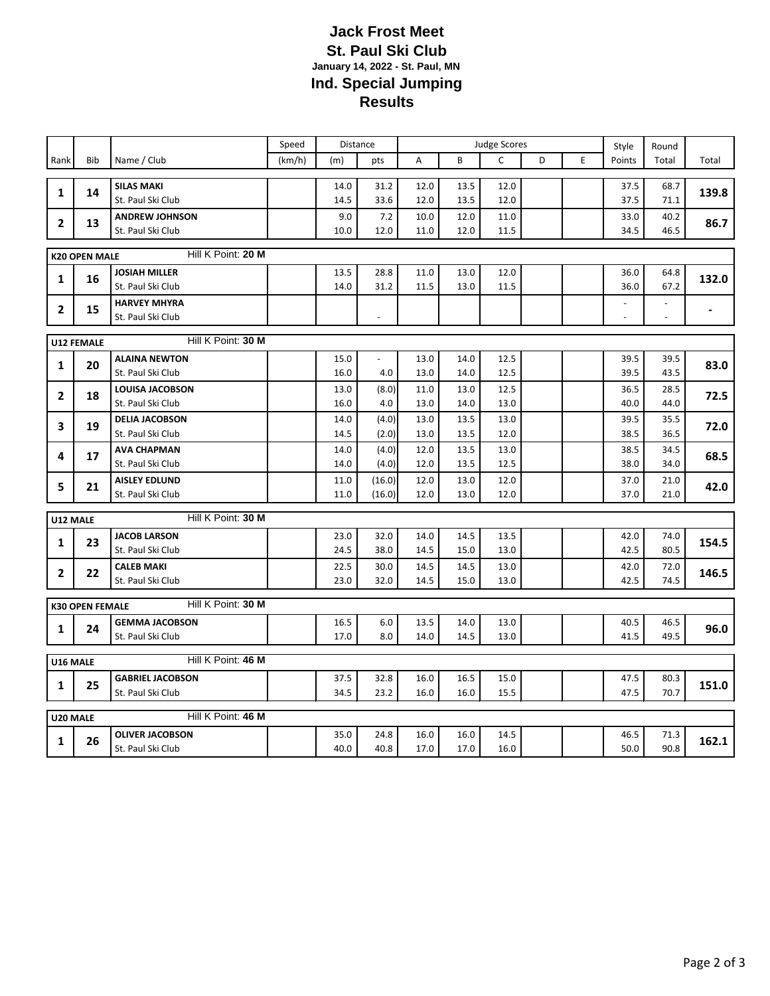## **Jack Frost Meet St. Paul Ski Club January 14, 2022 - St. Paul, MN Ind. Special Jumping Results**

|                |                        |                         | Speed  | Distance |                          | <b>Judge Scores</b> |      |      |   |   | Style          | Round                    |       |  |  |
|----------------|------------------------|-------------------------|--------|----------|--------------------------|---------------------|------|------|---|---|----------------|--------------------------|-------|--|--|
| Rank           | <b>Bib</b>             | Name / Club             | (km/h) | (m)      | pts                      | A                   | B    | C    | D | E | Points         | Total                    | Total |  |  |
|                |                        |                         |        |          |                          |                     |      |      |   |   |                |                          |       |  |  |
| 1              | 14                     | <b>SILAS MAKI</b>       |        | 14.0     | 31.2                     | 12.0                | 13.5 | 12.0 |   |   | 37.5           | 68.7                     | 139.8 |  |  |
|                |                        | St. Paul Ski Club       |        | 14.5     | 33.6                     | 12.0                | 13.5 | 12.0 |   |   | 37.5           | 71.1                     |       |  |  |
| $\overline{2}$ | 13                     | <b>ANDREW JOHNSON</b>   |        | 9.0      | 7.2                      | 10.0                | 12.0 | 11.0 |   |   | 33.0           | 40.2                     | 86.7  |  |  |
|                |                        | St. Paul Ski Club       |        | 10.0     | 12.0                     | 11.0                | 12.0 | 11.5 |   |   | 34.5           | 46.5                     |       |  |  |
|                | <b>K20 OPEN MALE</b>   | Hill K Point: 20 M      |        |          |                          |                     |      |      |   |   |                |                          |       |  |  |
| $\mathbf{1}$   | 16                     | <b>JOSIAH MILLER</b>    |        | 13.5     | 28.8                     | 11.0                | 13.0 | 12.0 |   |   | 36.0           | 64.8                     | 132.0 |  |  |
|                |                        | St. Paul Ski Club       |        | 14.0     | 31.2                     | 11.5                | 13.0 | 11.5 |   |   | 36.0           | 67.2                     |       |  |  |
| $\overline{2}$ | 15                     | <b>HARVEY MHYRA</b>     |        |          |                          |                     |      |      |   |   |                | $\blacksquare$           |       |  |  |
|                |                        | St. Paul Ski Club       |        |          | $\overline{\phantom{a}}$ |                     |      |      |   |   | $\blacksquare$ | $\overline{\phantom{a}}$ |       |  |  |
|                |                        |                         |        |          |                          |                     |      |      |   |   |                |                          |       |  |  |
|                | <b>U12 FEMALE</b>      | Hill K Point: 30 M      |        |          |                          |                     |      |      |   |   |                |                          |       |  |  |
| $\mathbf{1}$   | 20                     | <b>ALAINA NEWTON</b>    |        | 15.0     | $\overline{a}$           | 13.0                | 14.0 | 12.5 |   |   | 39.5           | 39.5                     | 83.0  |  |  |
|                |                        | St. Paul Ski Club       |        | 16.0     | 4.0                      | 13.0                | 14.0 | 12.5 |   |   | 39.5           | 43.5                     |       |  |  |
| $\overline{2}$ | 18                     | LOUISA JACOBSON         |        | 13.0     | (8.0)                    | 11.0                | 13.0 | 12.5 |   |   | 36.5           | 28.5                     | 72.5  |  |  |
|                |                        | St. Paul Ski Club       |        | 16.0     | 4.0                      | 13.0                | 14.0 | 13.0 |   |   | 40.0           | 44.0                     |       |  |  |
| 3              | 19                     | <b>DELIA JACOBSON</b>   |        | 14.0     | (4.0)                    | 13.0                | 13.5 | 13.0 |   |   | 39.5           | 35.5                     | 72.0  |  |  |
|                |                        | St. Paul Ski Club       |        | 14.5     | (2.0)                    | 13.0                | 13.5 | 12.0 |   |   | 38.5           | 36.5                     |       |  |  |
| 4              | 17                     | <b>AVA CHAPMAN</b>      |        | 14.0     | (4.0)                    | 12.0                | 13.5 | 13.0 |   |   | 38.5           | 34.5                     | 68.5  |  |  |
|                |                        | St. Paul Ski Club       |        | 14.0     | (4.0)                    | 12.0                | 13.5 | 12.5 |   |   | 38.0           | 34.0                     |       |  |  |
| 5              | 21                     | <b>AISLEY EDLUND</b>    |        | 11.0     | (16.0)                   | 12.0                | 13.0 | 12.0 |   |   | 37.0           | 21.0                     | 42.0  |  |  |
|                |                        | St. Paul Ski Club       |        | 11.0     | (16.0)                   | 12.0                | 13.0 | 12.0 |   |   | 37.0           | 21.0                     |       |  |  |
| U12 MALE       |                        | Hill K Point: 30 M      |        |          |                          |                     |      |      |   |   |                |                          |       |  |  |
| 1              | 23                     | <b>JACOB LARSON</b>     |        | 23.0     | 32.0                     | 14.0                | 14.5 | 13.5 |   |   | 42.0           | 74.0                     | 154.5 |  |  |
|                |                        | St. Paul Ski Club       |        | 24.5     | 38.0                     | 14.5                | 15.0 | 13.0 |   |   | 42.5           | 80.5                     |       |  |  |
| $\mathbf{2}$   | 22                     | <b>CALEB MAKI</b>       |        | 22.5     | 30.0                     | 14.5                | 14.5 | 13.0 |   |   | 42.0           | 72.0                     | 146.5 |  |  |
|                |                        | St. Paul Ski Club       |        | 23.0     | 32.0                     | 14.5                | 15.0 | 13.0 |   |   | 42.5           | 74.5                     |       |  |  |
|                |                        | Hill K Point: 30 M      |        |          |                          |                     |      |      |   |   |                |                          |       |  |  |
|                | <b>K30 OPEN FEMALE</b> |                         |        |          |                          |                     |      |      |   |   |                |                          |       |  |  |
| 1              | 24                     | <b>GEMMA JACOBSON</b>   |        | 16.5     | 6.0                      | 13.5                | 14.0 | 13.0 |   |   | 40.5           | 46.5                     | 96.0  |  |  |
|                |                        | St. Paul Ski Club       |        | 17.0     | 8.0                      | 14.0                | 14.5 | 13.0 |   |   | 41.5           | 49.5                     |       |  |  |
| U16 MALE       |                        | Hill K Point: 46 M      |        |          |                          |                     |      |      |   |   |                |                          |       |  |  |
|                |                        | <b>GABRIEL JACOBSON</b> |        | 37.5     | 32.8                     | 16.0                | 16.5 | 15.0 |   |   | 47.5           | 80.3                     |       |  |  |
| 1              | 25                     | St. Paul Ski Club       |        | 34.5     | 23.2                     | 16.0                | 16.0 | 15.5 |   |   | 47.5           | 70.7                     | 151.0 |  |  |
|                |                        |                         |        |          |                          |                     |      |      |   |   |                |                          |       |  |  |
| U20 MALE       |                        | Hill K Point: 46 M      |        |          |                          |                     |      |      |   |   |                |                          |       |  |  |
| 1              | 26                     | <b>OLIVER JACOBSON</b>  |        | 35.0     | 24.8                     | 16.0                | 16.0 | 14.5 |   |   | 46.5           | 71.3                     | 162.1 |  |  |
|                |                        | St. Paul Ski Club       |        | 40.0     | 40.8                     | 17.0                | 17.0 | 16.0 |   |   | 50.0           | 90.8                     |       |  |  |